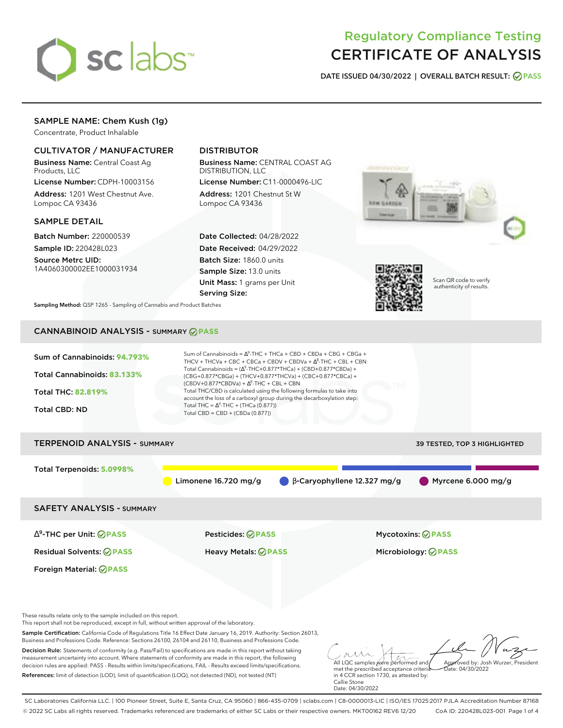

# Regulatory Compliance Testing CERTIFICATE OF ANALYSIS

**DATE ISSUED 04/30/2022 | OVERALL BATCH RESULT: PASS**

## SAMPLE NAME: Chem Kush (1g)

Concentrate, Product Inhalable

## CULTIVATOR / MANUFACTURER

Business Name: Central Coast Ag Products, LLC

License Number: CDPH-10003156 Address: 1201 West Chestnut Ave. Lompoc CA 93436

### SAMPLE DETAIL

Batch Number: 220000539 Sample ID: 220428L023

Source Metrc UID: 1A4060300002EE1000031934

# DISTRIBUTOR

Business Name: CENTRAL COAST AG DISTRIBUTION, LLC

License Number: C11-0000496-LIC Address: 1201 Chestnut St W Lompoc CA 93436

Date Collected: 04/28/2022 Date Received: 04/29/2022 Batch Size: 1860.0 units Sample Size: 13.0 units Unit Mass: 1 grams per Unit Serving Size:





Scan QR code to verify authenticity of results.

**Sampling Method:** QSP 1265 - Sampling of Cannabis and Product Batches

# CANNABINOID ANALYSIS - SUMMARY **PASS**



Total Terpenoids: **5.0998%**

Limonene 16.720 mg/g  $\qquad \qquad \beta$ -Caryophyllene 12.327 mg/g  $\qquad \qquad \beta$  Myrcene 6.000 mg/g

SAFETY ANALYSIS - SUMMARY

∆ 9 -THC per Unit: **PASS** Pesticides: **PASS** Mycotoxins: **PASS**

Foreign Material: **PASS**

Residual Solvents: **PASS** Heavy Metals: **PASS** Microbiology: **PASS**

These results relate only to the sample included on this report.

This report shall not be reproduced, except in full, without written approval of the laboratory.

Sample Certification: California Code of Regulations Title 16 Effect Date January 16, 2019. Authority: Section 26013, Business and Professions Code. Reference: Sections 26100, 26104 and 26110, Business and Professions Code.

Decision Rule: Statements of conformity (e.g. Pass/Fail) to specifications are made in this report without taking measurement uncertainty into account. Where statements of conformity are made in this report, the following decision rules are applied: PASS - Results within limits/specifications, FAIL - Results exceed limits/specifications. References: limit of detection (LOD), limit of quantification (LOQ), not detected (ND), not tested (NT)

All LQC samples were performed and Approved by: Josh Wurzer, President  $ate: 04/30/2022$ 

met the prescribed acceptance criteria in 4 CCR section 1730, as attested by: Callie Stone Date: 04/30/2022

SC Laboratories California LLC. | 100 Pioneer Street, Suite E, Santa Cruz, CA 95060 | 866-435-0709 | sclabs.com | C8-0000013-LIC | ISO/IES 17025:2017 PJLA Accreditation Number 87168 © 2022 SC Labs all rights reserved. Trademarks referenced are trademarks of either SC Labs or their respective owners. MKT00162 REV6 12/20 CoA ID: 220428L023-001 Page 1 of 4